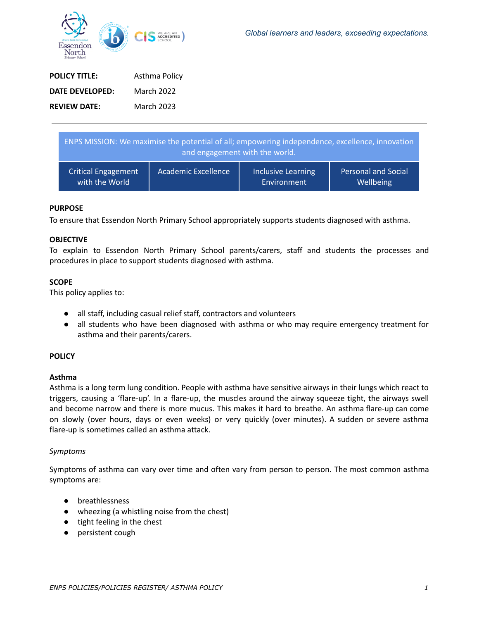

| <b>POLICY TITLE:</b> | Asthma Policy |
|----------------------|---------------|
| DATE DEVELOPED:      | March 2022    |
| <b>REVIEW DATE:</b>  | March 2023    |

| ENPS MISSION: We maximise the potential of all; empowering independence, excellence, innovation<br>and engagement with the world. |                            |                    |                            |
|-----------------------------------------------------------------------------------------------------------------------------------|----------------------------|--------------------|----------------------------|
| <b>Critical Engagement</b>                                                                                                        | <b>Academic Excellence</b> | Inclusive Learning | <b>Personal and Social</b> |
| with the World                                                                                                                    |                            | Environment        | Wellbeing                  |

#### **PURPOSE**

To ensure that Essendon North Primary School appropriately supports students diagnosed with asthma.

#### **OBJECTIVE**

To explain to Essendon North Primary School parents/carers, staff and students the processes and procedures in place to support students diagnosed with asthma.

#### **SCOPE**

This policy applies to:

- all staff, including casual relief staff, contractors and volunteers
- all students who have been diagnosed with asthma or who may require emergency treatment for asthma and their parents/carers.

#### **POLICY**

#### **Asthma**

Asthma is a long term lung condition. People with asthma have sensitive airways in their lungs which react to triggers, causing a 'flare-up'. In a flare-up, the muscles around the airway squeeze tight, the airways swell and become narrow and there is more mucus. This makes it hard to breathe. An asthma flare-up can come on slowly (over hours, days or even weeks) or very quickly (over minutes). A sudden or severe asthma flare-up is sometimes called an asthma attack.

#### *Symptoms*

Symptoms of asthma can vary over time and often vary from person to person. The most common asthma symptoms are:

- breathlessness
- wheezing (a whistling noise from the chest)
- tight feeling in the chest
- persistent cough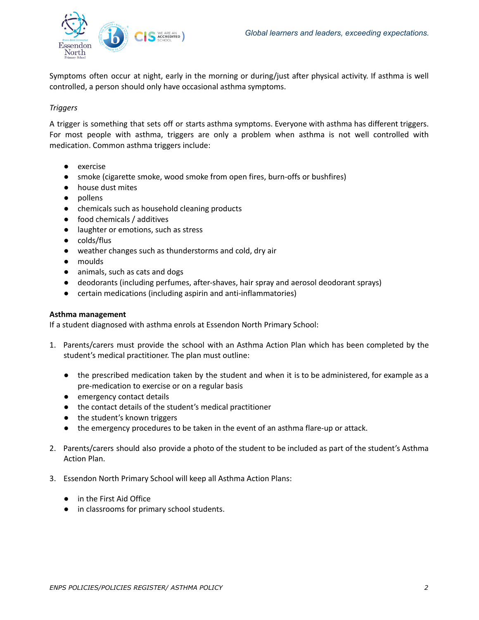

Symptoms often occur at night, early in the morning or during/just after physical activity. If asthma is well controlled, a person should only have occasional asthma symptoms.

# *Triggers*

A trigger is something that sets off or starts asthma symptoms. Everyone with asthma has different triggers. For most people with asthma, triggers are only a problem when asthma is not well controlled with medication. Common asthma triggers include:

- exercise
- smoke (cigarette smoke, wood smoke from open fires, burn-offs or bushfires)
- house dust mites
- pollens
- chemicals such as household cleaning products
- food chemicals / additives
- laughter or emotions, such as stress
- colds/flus
- weather changes such as thunderstorms and cold, dry air
- moulds
- animals, such as cats and dogs
- deodorants (including perfumes, after-shaves, hair spray and aerosol deodorant sprays)
- certain medications (including aspirin and anti-inflammatories)

## **Asthma management**

If a student diagnosed with asthma enrols at Essendon North Primary School:

- 1. Parents/carers must provide the school with an Asthma Action Plan which has been completed by the student's medical practitioner. The plan must outline:
	- the prescribed medication taken by the student and when it is to be administered, for example as a pre-medication to exercise or on a regular basis
	- emergency contact details
	- the contact details of the student's medical practitioner
	- the student's known triggers
	- the emergency procedures to be taken in the event of an asthma flare-up or attack.
- 2. Parents/carers should also provide a photo of the student to be included as part of the student's Asthma Action Plan.
- 3. Essendon North Primary School will keep all Asthma Action Plans:
	- in the First Aid Office
	- in classrooms for primary school students.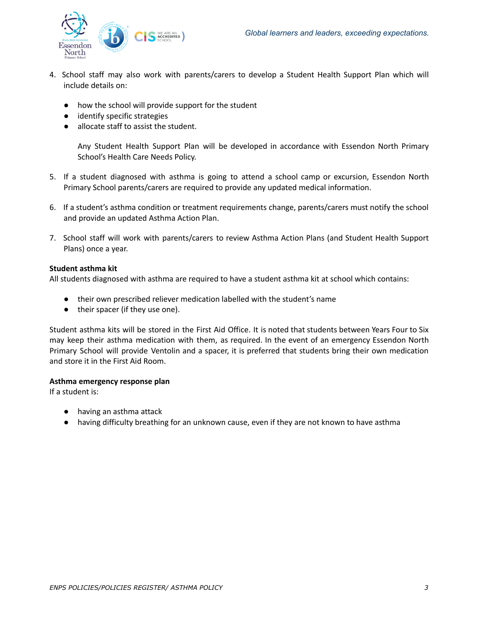

- 4. School staff may also work with parents/carers to develop a Student Health Support Plan which will include details on:
	- how the school will provide support for the student
	- identify specific strategies
	- allocate staff to assist the student.

Any Student Health Support Plan will be developed in accordance with Essendon North Primary School's Health Care Needs Policy.

- 5. If a student diagnosed with asthma is going to attend a school camp or excursion, Essendon North Primary School parents/carers are required to provide any updated medical information.
- 6. If a student's asthma condition or treatment requirements change, parents/carers must notify the school and provide an updated Asthma Action Plan.
- 7. School staff will work with parents/carers to review Asthma Action Plans (and Student Health Support Plans) once a year.

## **Student asthma kit**

All students diagnosed with asthma are required to have a student asthma kit at school which contains:

- their own prescribed reliever medication labelled with the student's name
- their spacer (if they use one).

Student asthma kits will be stored in the First Aid Office. It is noted that students between Years Four to Six may keep their asthma medication with them, as required. In the event of an emergency Essendon North Primary School will provide Ventolin and a spacer, it is preferred that students bring their own medication and store it in the First Aid Room.

#### **Asthma emergency response plan**

If a student is:

- having an asthma attack
- having difficulty breathing for an unknown cause, even if they are not known to have asthma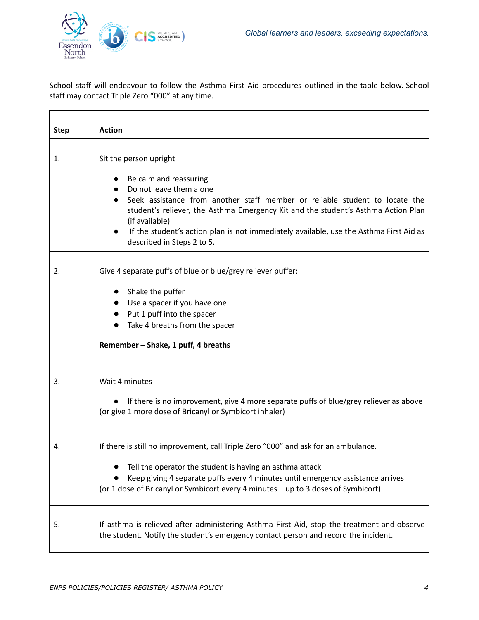

è

School staff will endeavour to follow the Asthma First Aid procedures outlined in the table below. School staff may contact Triple Zero "000" at any time.

| <b>Step</b> | <b>Action</b>                                                                                                                                                                                                                                                                                                                                                                             |
|-------------|-------------------------------------------------------------------------------------------------------------------------------------------------------------------------------------------------------------------------------------------------------------------------------------------------------------------------------------------------------------------------------------------|
| 1.          | Sit the person upright<br>Be calm and reassuring<br>Do not leave them alone<br>Seek assistance from another staff member or reliable student to locate the<br>student's reliever, the Asthma Emergency Kit and the student's Asthma Action Plan<br>(if available)<br>If the student's action plan is not immediately available, use the Asthma First Aid as<br>described in Steps 2 to 5. |
| 2.          | Give 4 separate puffs of blue or blue/grey reliever puffer:<br>Shake the puffer<br>Use a spacer if you have one<br>Put 1 puff into the spacer<br>Take 4 breaths from the spacer<br>Remember - Shake, 1 puff, 4 breaths                                                                                                                                                                    |
| 3.          | Wait 4 minutes<br>If there is no improvement, give 4 more separate puffs of blue/grey reliever as above<br>(or give 1 more dose of Bricanyl or Symbicort inhaler)                                                                                                                                                                                                                         |
| 4.          | If there is still no improvement, call Triple Zero "000" and ask for an ambulance.<br>Tell the operator the student is having an asthma attack<br>Keep giving 4 separate puffs every 4 minutes until emergency assistance arrives<br>(or 1 dose of Bricanyl or Symbicort every 4 minutes - up to 3 doses of Symbicort)                                                                    |
| 5.          | If asthma is relieved after administering Asthma First Aid, stop the treatment and observe<br>the student. Notify the student's emergency contact person and record the incident.                                                                                                                                                                                                         |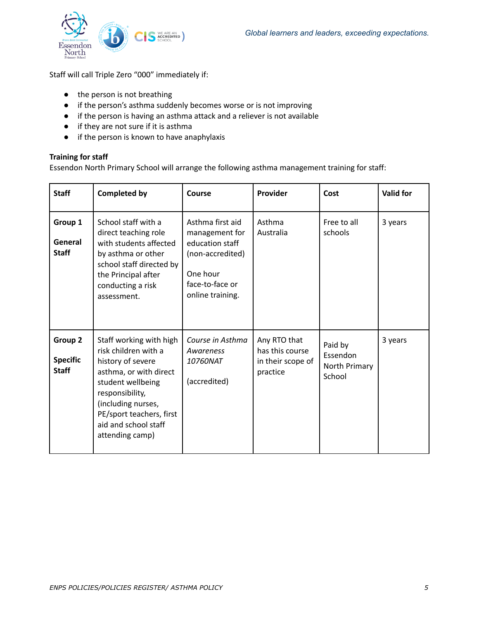

Staff will call Triple Zero "000" immediately if:

- the person is not breathing
- if the person's asthma suddenly becomes worse or is not improving
- if the person is having an asthma attack and a reliever is not available
- if they are not sure if it is asthma
- if the person is known to have anaphylaxis

## **Training for staff**

Essendon North Primary School will arrange the following asthma management training for staff:

| <b>Staff</b>                               | <b>Completed by</b>                                                                                                                                                                                                                 | Course                                                                                                                       | Provider                                                         | Cost                                           | <b>Valid for</b> |
|--------------------------------------------|-------------------------------------------------------------------------------------------------------------------------------------------------------------------------------------------------------------------------------------|------------------------------------------------------------------------------------------------------------------------------|------------------------------------------------------------------|------------------------------------------------|------------------|
| Group 1<br>General<br><b>Staff</b>         | School staff with a<br>direct teaching role<br>with students affected<br>by asthma or other<br>school staff directed by<br>the Principal after<br>conducting a risk<br>assessment.                                                  | Asthma first aid<br>management for<br>education staff<br>(non-accredited)<br>One hour<br>face-to-face or<br>online training. | Asthma<br>Australia                                              | Free to all<br>schools                         | 3 years          |
| Group 2<br><b>Specific</b><br><b>Staff</b> | Staff working with high<br>risk children with a<br>history of severe<br>asthma, or with direct<br>student wellbeing<br>responsibility,<br>(including nurses,<br>PE/sport teachers, first<br>aid and school staff<br>attending camp) | Course in Asthma<br>Awareness<br>10760NAT<br>(accredited)                                                                    | Any RTO that<br>has this course<br>in their scope of<br>practice | Paid by<br>Essendon<br>North Primary<br>School | 3 years          |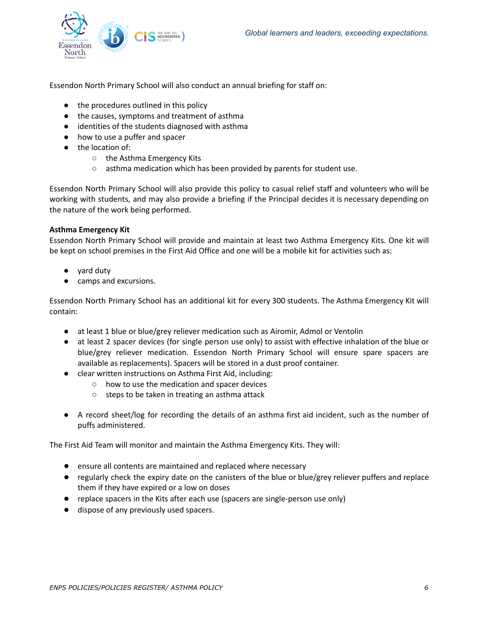

Essendon North Primary School will also conduct an annual briefing for staff on:

- the procedures outlined in this policy
- the causes, symptoms and treatment of asthma
- identities of the students diagnosed with asthma
- how to use a puffer and spacer
- the location of:
	- the Asthma Emergency Kits
	- asthma medication which has been provided by parents for student use.

Essendon North Primary School will also provide this policy to casual relief staff and volunteers who will be working with students, and may also provide a briefing if the Principal decides it is necessary depending on the nature of the work being performed.

# **Asthma Emergency Kit**

Essendon North Primary School will provide and maintain at least two Asthma Emergency Kits. One kit will be kept on school premises in the First Aid Office and one will be a mobile kit for activities such as:

- yard duty
- camps and excursions.

Essendon North Primary School has an additional kit for every 300 students. The Asthma Emergency Kit will contain:

- at least 1 blue or blue/grey reliever medication such as Airomir, Admol or Ventolin
- at least 2 spacer devices (for single person use only) to assist with effective inhalation of the blue or blue/grey reliever medication. Essendon North Primary School will ensure spare spacers are available as replacements). Spacers will be stored in a dust proof container.
- clear written instructions on Asthma First Aid, including:
	- how to use the medication and spacer devices
	- steps to be taken in treating an asthma attack
- A record sheet/log for recording the details of an asthma first aid incident, such as the number of puffs administered.

The First Aid Team will monitor and maintain the Asthma Emergency Kits. They will:

- ensure all contents are maintained and replaced where necessary
- regularly check the expiry date on the canisters of the blue or blue/grey reliever puffers and replace them if they have expired or a low on doses
- replace spacers in the Kits after each use (spacers are single-person use only)
- dispose of any previously used spacers.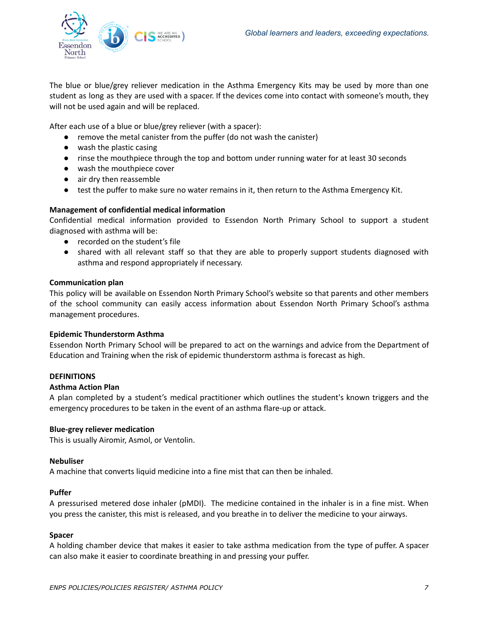

The blue or blue/grey reliever medication in the Asthma Emergency Kits may be used by more than one student as long as they are used with a spacer. If the devices come into contact with someone's mouth, they will not be used again and will be replaced.

After each use of a blue or blue/grey reliever (with a spacer):

- remove the metal canister from the puffer (do not wash the canister)
- wash the plastic casing
- rinse the mouthpiece through the top and bottom under running water for at least 30 seconds
- wash the mouthpiece cover
- air dry then reassemble
- test the puffer to make sure no water remains in it, then return to the Asthma Emergency Kit.

## **Management of confidential medical information**

Confidential medical information provided to Essendon North Primary School to support a student diagnosed with asthma will be:

- recorded on the student's file
- shared with all relevant staff so that they are able to properly support students diagnosed with asthma and respond appropriately if necessary.

## **Communication plan**

This policy will be available on Essendon North Primary School's website so that parents and other members of the school community can easily access information about Essendon North Primary School's asthma management procedures.

## **Epidemic Thunderstorm Asthma**

Essendon North Primary School will be prepared to act on the warnings and advice from the Department of Education and Training when the risk of epidemic thunderstorm asthma is forecast as high.

## **DEFINITIONS**

## **Asthma Action Plan**

A plan completed by a student's medical practitioner which outlines the student's known triggers and the emergency procedures to be taken in the event of an asthma flare-up or attack.

## **Blue-grey reliever medication**

This is usually Airomir, Asmol, or Ventolin.

#### **Nebuliser**

A machine that converts liquid medicine into a fine mist that can then be inhaled.

#### **Puffer**

A pressurised metered dose inhaler (pMDI). The medicine contained in the inhaler is in a fine mist. When you press the canister, this mist is released, and you breathe in to deliver the medicine to your airways.

## **Spacer**

A holding chamber device that makes it easier to take asthma medication from the type of puffer. A spacer can also make it easier to coordinate breathing in and pressing your puffer.